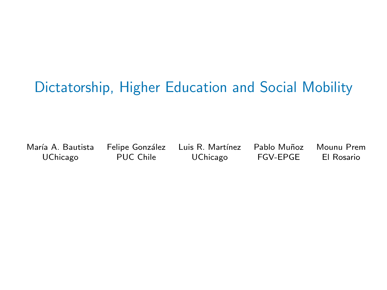# Dictatorship, Higher Education and Social Mobility

Mar´ıa A. Bautista Felipe Gonz´alez Luis R. Mart´ınez Pablo Mu˜noz Mounu Prem

UChicago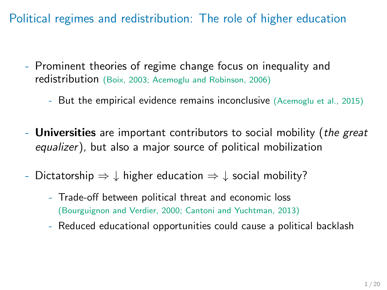Political regimes and redistribution: The role of higher education

- Prominent theories of regime change focus on inequality and redistribution (Boix, 2003; Acemoglu and Robinson, 2006)
	- But the empirical evidence remains inconclusive (Acemoglu et al., 2015)
- **Universities** are important contributors to social mobility (*the great*) equalizer), but also a major source of political mobilization
- Dictatorship  $\Rightarrow \downarrow$  higher education  $\Rightarrow \downarrow$  social mobility?
	- Trade-off between political threat and economic loss (Bourguignon and Verdier, 2000; Cantoni and Yuchtman, 2013)
	- Reduced educational opportunities could cause a political backlash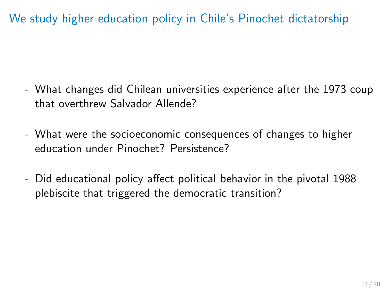We study higher education policy in Chile's Pinochet dictatorship

- What changes did Chilean universities experience after the 1973 coup that overthrew Salvador Allende?
- What were the socioeconomic consequences of changes to higher education under Pinochet? Persistence?
- Did educational policy affect political behavior in the pivotal 1988 plebiscite that triggered the democratic transition?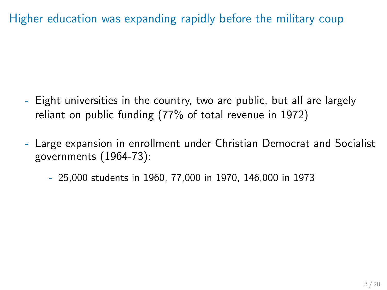Higher education was expanding rapidly before the military coup

- Eight universities in the country, two are public, but all are largely reliant on public funding (77% of total revenue in 1972)
- Large expansion in enrollment under Christian Democrat and Socialist governments (1964-73):
	- 25,000 students in 1960, 77,000 in 1970, 146,000 in 1973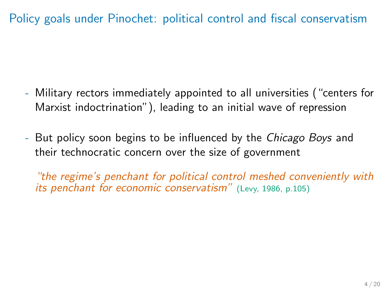Policy goals under Pinochet: political control and fiscal conservatism

- Military rectors immediately appointed to all universities ("centers for Marxist indoctrination"), leading to an initial wave of repression
- But policy soon begins to be influenced by the *Chicago Boys* and their technocratic concern over the size of government

"the regime's penchant for political control meshed conveniently with its penchant for economic conservatism" (Levy, 1986, p.105)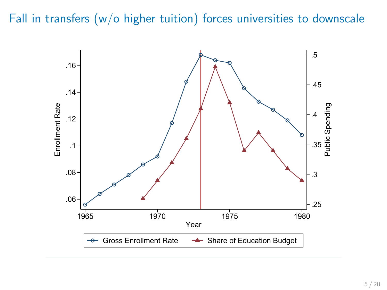Fall in transfers (w/o higher tuition) forces universities to downscale

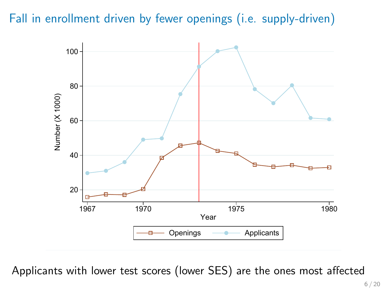Fall in enrollment driven by fewer openings (i.e. supply-driven)



Applicants with lower test scores (lower SES) are the ones most affected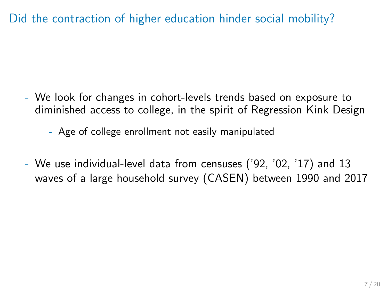Did the contraction of higher education hinder social mobility?

- We look for changes in cohort-levels trends based on exposure to diminished access to college, in the spirit of Regression Kink Design

- Age of college enrollment not easily manipulated

- We use individual-level data from censuses ('92, '02, '17) and 13 waves of a large household survey (CASEN) between 1990 and 2017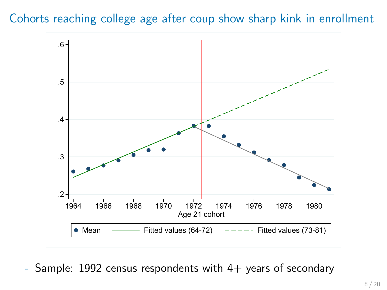#### Cohorts reaching college age after coup show sharp kink in enrollment



Sample: 1992 census respondents with  $4+$  years of secondary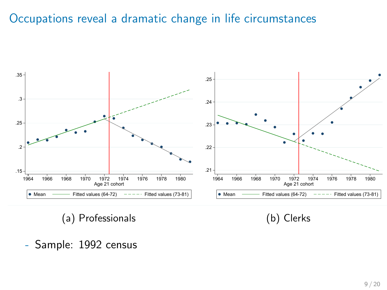## Occupations reveal a dramatic change in life circumstances



(b) Clerks

- Sample: 1992 census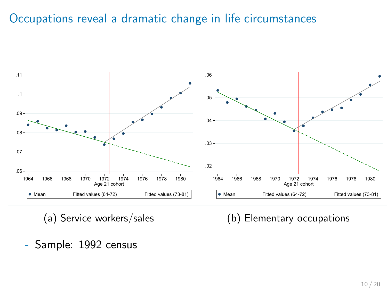### Occupations reveal a dramatic change in life circumstances



(a) Service workers/sales

(b) Elementary occupations

- Sample: 1992 census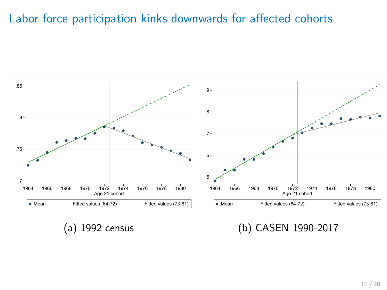#### Labor force participation kinks downwards for affected cohorts



(a) 1992 census

(b) CASEN 1990-2017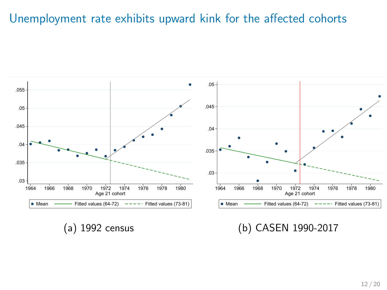### Unemployment rate exhibits upward kink for the affected cohorts



(a) 1992 census

(b) CASEN 1990-2017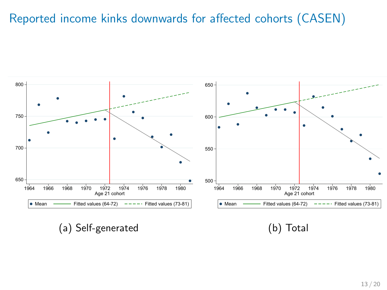## Reported income kinks downwards for affected cohorts (CASEN)



(a) Self-generated

(b) Total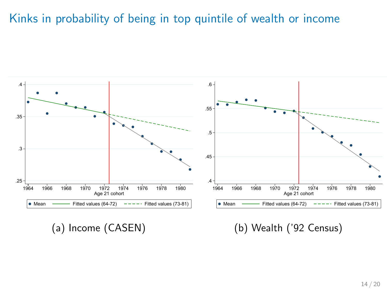Kinks in probability of being in top quintile of wealth or income



(a) Income (CASEN)

(b) Wealth ('92 Census)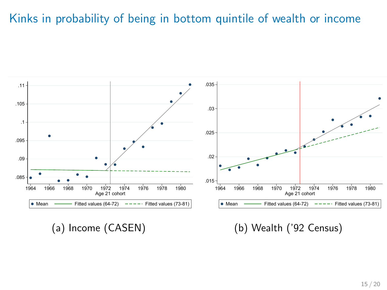## Kinks in probability of being in bottom quintile of wealth or income



(a) Income (CASEN)

(b) Wealth ('92 Census)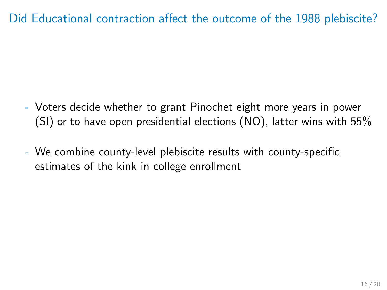Did Educational contraction affect the outcome of the 1988 plebiscite?

- Voters decide whether to grant Pinochet eight more years in power (SI) or to have open presidential elections (NO), latter wins with 55%
- We combine county-level plebiscite results with county-specific estimates of the kink in college enrollment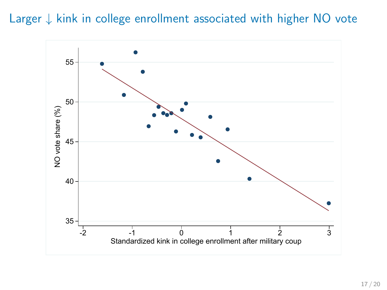#### Larger ↓ kink in college enrollment associated with higher NO vote

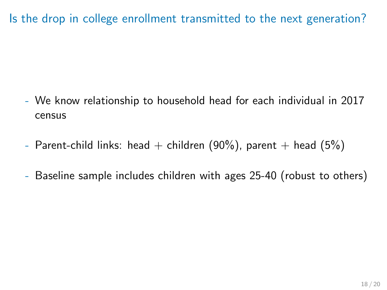Is the drop in college enrollment transmitted to the next generation?

- We know relationship to household head for each individual in 2017 census
- Parent-child links: head + children (90%), parent + head (5%)
- Baseline sample includes children with ages 25-40 (robust to others)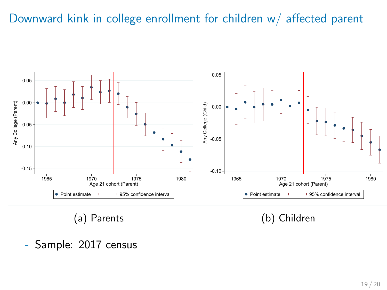#### Downward kink in college enrollment for children w/ affected parent



- Sample: 2017 census